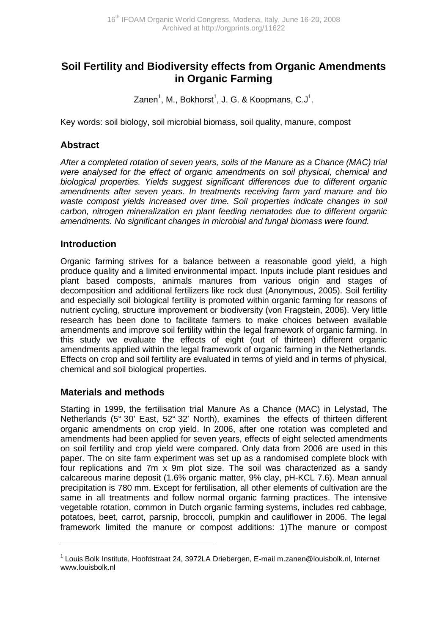# **Soil Fertility and Biodiversity effects from Organic Amendments in Organic Farming**

Zanen<sup>1</sup>, M., Bokhorst<sup>1</sup>, J. G. & Koopmans, C.J<sup>1</sup>.

Key words: soil biology, soil microbial biomass, soil quality, manure, compost

### **Abstract**

After a completed rotation of seven years, soils of the Manure as a Chance (MAC) trial were analysed for the effect of organic amendments on soil physical, chemical and biological properties. Yields suggest significant differences due to different organic amendments after seven years. In treatments receiving farm yard manure and bio waste compost yields increased over time. Soil properties indicate changes in soil carbon, nitrogen mineralization en plant feeding nematodes due to different organic amendments. No significant changes in microbial and fungal biomass were found.

### **Introduction**

Organic farming strives for a balance between a reasonable good yield, a high produce quality and a limited environmental impact. Inputs include plant residues and plant based composts, animals manures from various origin and stages of decomposition and additional fertilizers like rock dust (Anonymous, 2005). Soil fertility and especially soil biological fertility is promoted within organic farming for reasons of nutrient cycling, structure improvement or biodiversity (von Fragstein, 2006). Very little research has been done to facilitate farmers to make choices between available amendments and improve soil fertility within the legal framework of organic farming. In this study we evaluate the effects of eight (out of thirteen) different organic amendments applied within the legal framework of organic farming in the Netherlands. Effects on crop and soil fertility are evaluated in terms of yield and in terms of physical, chemical and soil biological properties.

### **Materials and methods**

 $\overline{a}$ 

Starting in 1999, the fertilisation trial Manure As a Chance (MAC) in Lelystad, The Netherlands (5° 30' East, 52° 32' North), examines the effects of thirteen different organic amendments on crop yield. In 2006, after one rotation was completed and amendments had been applied for seven years, effects of eight selected amendments on soil fertility and crop yield were compared. Only data from 2006 are used in this paper. The on site farm experiment was set up as a randomised complete block with four replications and 7m x 9m plot size. The soil was characterized as a sandy calcareous marine deposit (1.6% organic matter, 9% clay, pH-KCL 7.6). Mean annual precipitation is 780 mm. Except for fertilisation, all other elements of cultivation are the same in all treatments and follow normal organic farming practices. The intensive vegetable rotation, common in Dutch organic farming systems, includes red cabbage, potatoes, beet, carrot, parsnip, broccoli, pumpkin and cauliflower in 2006. The legal framework limited the manure or compost additions: 1)The manure or compost

<sup>1</sup> Louis Bolk Institute, Hoofdstraat 24, 3972LA Driebergen, E-mail m.zanen@louisbolk.nl, Internet www.louisbolk.nl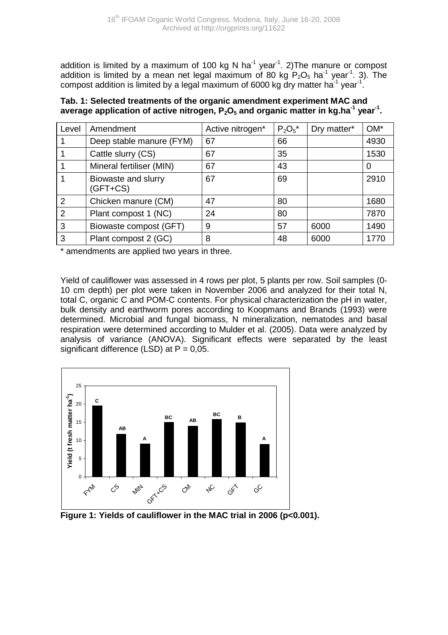addition is limited by a maximum of 100 kg N ha<sup>-1</sup> year<sup>-1</sup>. 2) The manure or compost addition is limited by a mean net legal maximum of 80 kg  $P_2O_5$  ha<sup>-1</sup> year<sup>-1</sup>. 3). The compost addition is limited by a legal maximum of 6000 kg dry matter ha<sup>-1</sup> year<sup>-1</sup>.

#### **Tab. 1: Selected treatments of the organic amendment experiment MAC and average application of active nitrogen, P2O5 and organic matter in kg.ha-1 year-1 .**

| Level | Amendment                         | Active nitrogen* | $P_2O_5*$ | Dry matter* | $OM*$ |
|-------|-----------------------------------|------------------|-----------|-------------|-------|
|       | Deep stable manure (FYM)          | 67               | 66        |             | 4930  |
|       | Cattle slurry (CS)                | 67               | 35        |             | 1530  |
|       | Mineral fertiliser (MIN)          | 67               | 43        |             | 0     |
|       | Biowaste and slurry<br>$(GFT+CS)$ | 67               | 69        |             | 2910  |
| 2     | Chicken manure (CM)               | 47               | 80        |             | 1680  |
| 2     | Plant compost 1 (NC)              | 24               | 80        |             | 7870  |
| 3     | Biowaste compost (GFT)            | 9                | 57        | 6000        | 1490  |
| 3     | Plant compost 2 (GC)              | 8                | 48        | 6000        | 1770  |

\* amendments are applied two years in three.

Yield of cauliflower was assessed in 4 rows per plot, 5 plants per row. Soil samples (0- 10 cm depth) per plot were taken in November 2006 and analyzed for their total N, total C, organic C and POM-C contents. For physical characterization the pH in water, bulk density and earthworm pores according to Koopmans and Brands (1993) were determined. Microbial and fungal biomass, N mineralization, nematodes and basal respiration were determined according to Mulder et al. (2005). Data were analyzed by analysis of variance (ANOVA). Significant effects were separated by the least significant difference (LSD) at  $P = 0.05$ .



Figure 1: Yields of cauliflower in the MAC trial in 2006 (p<0.001).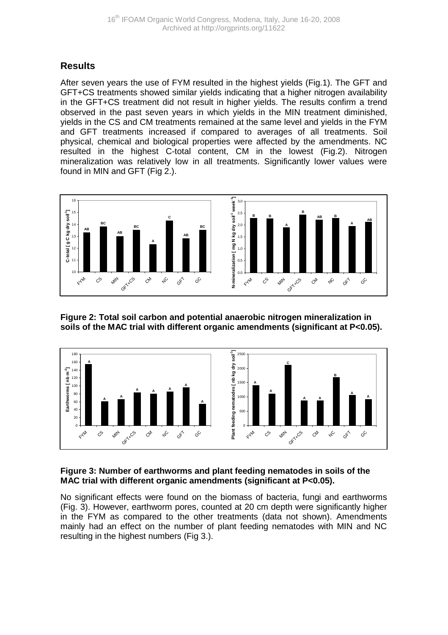## **Results**

After seven years the use of FYM resulted in the highest yields (Fig.1). The GFT and GFT+CS treatments showed similar yields indicating that a higher nitrogen availability in the GFT+CS treatment did not result in higher yields. The results confirm a trend observed in the past seven years in which yields in the MIN treatment diminished, yields in the CS and CM treatments remained at the same level and yields in the FYM and GFT treatments increased if compared to averages of all treatments. Soil physical, chemical and biological properties were affected by the amendments. NC resulted in the highest C-total content, CM in the lowest (Fig.2). Nitrogen mineralization was relatively low in all treatments. Significantly lower values were found in MIN and GFT (Fig 2.).



**Figure 2: Total soil carbon and potential anaerobic nitrogen mineralization in soils of the MAC trial with different organic amendments (significant at P<0.05).** 



#### **Figure 3: Number of earthworms and plant feeding nematodes in soils of the MAC trial with different organic amendments (significant at P<0.05).**

No significant effects were found on the biomass of bacteria, fungi and earthworms (Fig. 3). However, earthworm pores, counted at 20 cm depth were significantly higher in the FYM as compared to the other treatments (data not shown). Amendments mainly had an effect on the number of plant feeding nematodes with MIN and NC resulting in the highest numbers (Fig 3.).